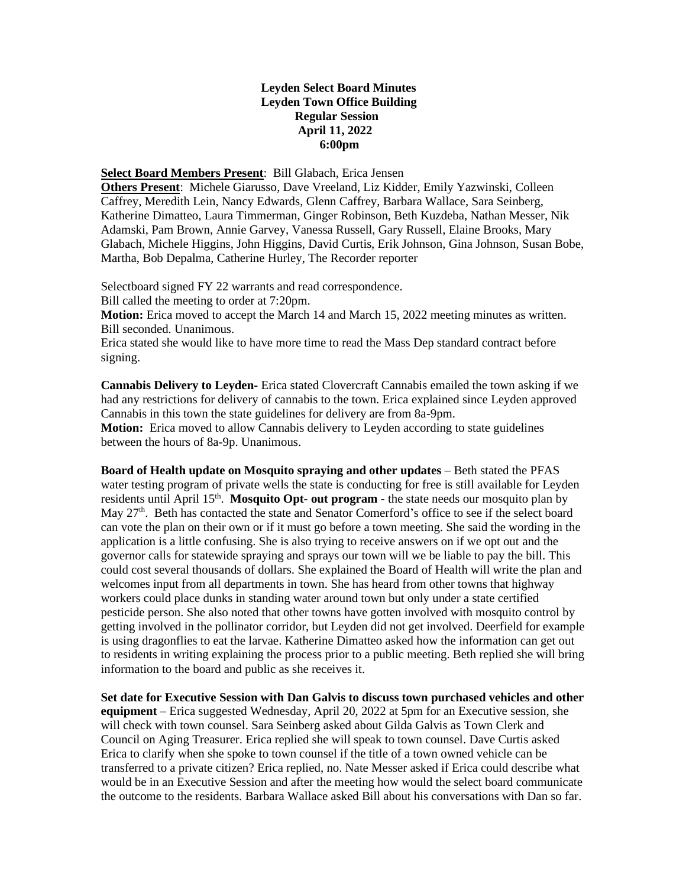## **Leyden Select Board Minutes Leyden Town Office Building Regular Session April 11, 2022 6:00pm**

## **Select Board Members Present**: Bill Glabach, Erica Jensen

**Others Present**: Michele Giarusso, Dave Vreeland, Liz Kidder, Emily Yazwinski, Colleen Caffrey, Meredith Lein, Nancy Edwards, Glenn Caffrey, Barbara Wallace, Sara Seinberg, Katherine Dimatteo, Laura Timmerman, Ginger Robinson, Beth Kuzdeba, Nathan Messer, Nik Adamski, Pam Brown, Annie Garvey, Vanessa Russell, Gary Russell, Elaine Brooks, Mary Glabach, Michele Higgins, John Higgins, David Curtis, Erik Johnson, Gina Johnson, Susan Bobe, Martha, Bob Depalma, Catherine Hurley, The Recorder reporter

Selectboard signed FY 22 warrants and read correspondence.

Bill called the meeting to order at 7:20pm.

**Motion:** Erica moved to accept the March 14 and March 15, 2022 meeting minutes as written. Bill seconded. Unanimous.

Erica stated she would like to have more time to read the Mass Dep standard contract before signing.

**Cannabis Delivery to Leyden-** Erica stated Clovercraft Cannabis emailed the town asking if we had any restrictions for delivery of cannabis to the town. Erica explained since Leyden approved Cannabis in this town the state guidelines for delivery are from 8a-9pm.

**Motion:** Erica moved to allow Cannabis delivery to Leyden according to state guidelines between the hours of 8a-9p. Unanimous.

**Board of Health update on Mosquito spraying and other updates** – Beth stated the PFAS water testing program of private wells the state is conducting for free is still available for Leyden residents until April 15<sup>th</sup>. Mosquito Opt- out program - the state needs our mosquito plan by May 27<sup>th</sup>. Beth has contacted the state and Senator Comerford's office to see if the select board can vote the plan on their own or if it must go before a town meeting. She said the wording in the application is a little confusing. She is also trying to receive answers on if we opt out and the governor calls for statewide spraying and sprays our town will we be liable to pay the bill. This could cost several thousands of dollars. She explained the Board of Health will write the plan and welcomes input from all departments in town. She has heard from other towns that highway workers could place dunks in standing water around town but only under a state certified pesticide person. She also noted that other towns have gotten involved with mosquito control by getting involved in the pollinator corridor, but Leyden did not get involved. Deerfield for example is using dragonflies to eat the larvae. Katherine Dimatteo asked how the information can get out to residents in writing explaining the process prior to a public meeting. Beth replied she will bring information to the board and public as she receives it.

**Set date for Executive Session with Dan Galvis to discuss town purchased vehicles and other equipment** – Erica suggested Wednesday, April 20, 2022 at 5pm for an Executive session, she will check with town counsel. Sara Seinberg asked about Gilda Galvis as Town Clerk and Council on Aging Treasurer. Erica replied she will speak to town counsel. Dave Curtis asked Erica to clarify when she spoke to town counsel if the title of a town owned vehicle can be transferred to a private citizen? Erica replied, no. Nate Messer asked if Erica could describe what would be in an Executive Session and after the meeting how would the select board communicate the outcome to the residents. Barbara Wallace asked Bill about his conversations with Dan so far.